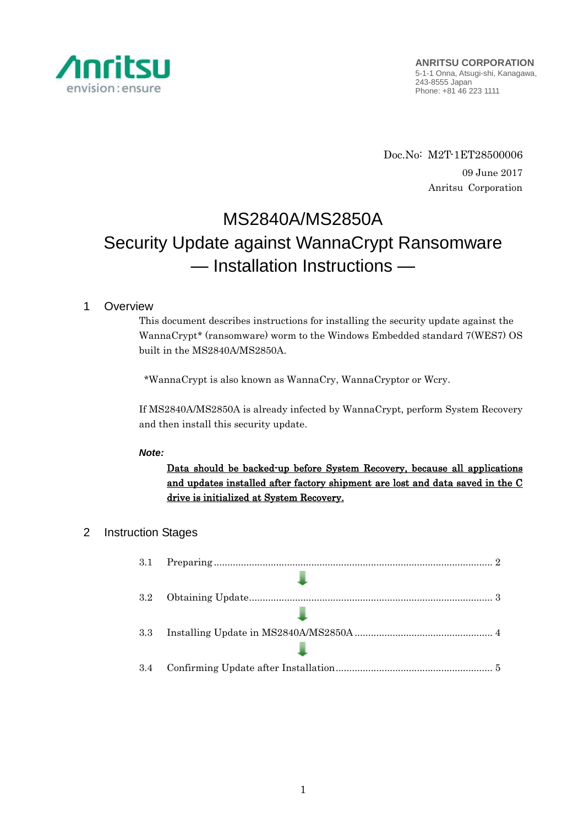

Doc.No: M2T-1ET28500006 09 June 2017 Anritsu Corporation

# MS2840A/MS2850A Security Update against WannaCrypt Ransomware — Installation Instructions —

# 1 Overview

This document describes instructions for installing the security update against the WannaCrypt\* (ransomware) worm to the Windows Embedded standard 7(WES7) OS built in the MS2840A/MS2850A.

\*WannaCrypt is also known as WannaCry, WannaCryptor or Wcry.

If MS2840A/MS2850A is already infected by WannaCrypt, perform System Recovery and then install this security update.

## *Note:*

Data should be backed-up before System Recovery, because all applications and updates installed after factory shipment are lost and data saved in the C drive is initialized at System Recovery.

# 2 Instruction Stages

| 3.1 |  |
|-----|--|
|     |  |
| 3.2 |  |
|     |  |
| 3.3 |  |
|     |  |
| 3.4 |  |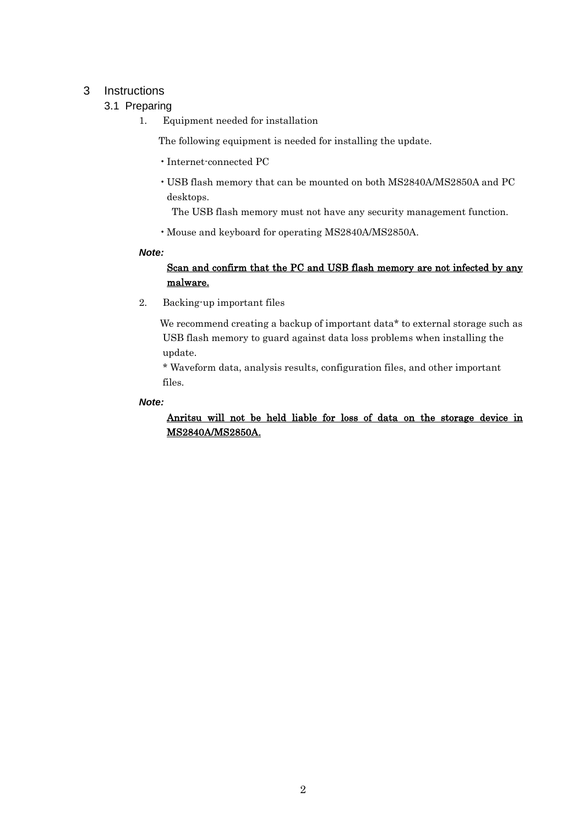# <span id="page-1-1"></span><span id="page-1-0"></span>3 Instructions

## 3.1 Preparing

1. Equipment needed for installation

The following equipment is needed for installing the update.

- •Internet-connected PC
- USB flash memory that can be mounted on both MS2840A/MS2850A and PC desktops.

The USB flash memory must not have any security management function.

•Mouse and keyboard for operating MS2840A/MS2850A.

#### *Note:*

# Scan and confirm that the PC and USB flash memory are not infected by any malware.

2. Backing-up important files

We recommend creating a backup of important data\* to external storage such as USB flash memory to guard against data loss problems when installing the update.

\* Waveform data, analysis results, configuration files, and other important files.

#### *Note:*

Anritsu will not be held liable for loss of data on the storage device in MS2840A/MS2850A.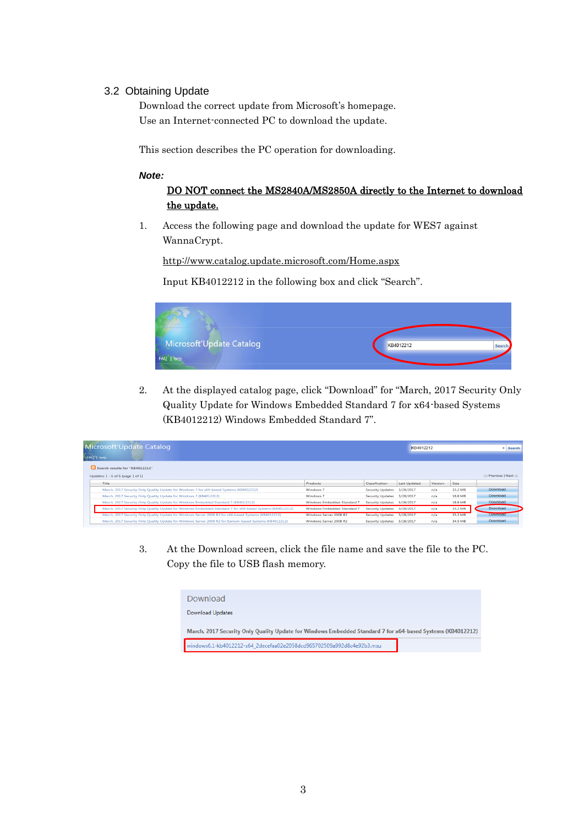## <span id="page-2-0"></span>3.2 Obtaining Update

Download the correct update from Microsoft's homepage. Use an Internet-connected PC to download the update.

This section describes the PC operation for downloading.

#### *Note:*

## DO NOT connect the MS2840A/MS2850A directly to the Internet to download the update.

1. Access the following page and download the update for WES7 against WannaCrypt.

<http://www.catalog.update.microsoft.com/Home.aspx>

Input KB4012212 in the following box and click "Search".



2. At the displayed catalog page, click "Download" for "March, 2017 Security Only Quality Update for Windows Embedded Standard 7 for x64-based Systems (KB4012212) Windows Embedded Standard 7".

| Microsoft Update Catalog<br>FAQ   help                                                                     | KB4012212                          |                         |                     | <b>×</b> Search |             |                                   |  |
|------------------------------------------------------------------------------------------------------------|------------------------------------|-------------------------|---------------------|-----------------|-------------|-----------------------------------|--|
| Search results for "KB4012212"                                                                             |                                    |                         |                     |                 |             |                                   |  |
| Updates: $1 - 6$ of 6 (page 1 of 1)                                                                        |                                    |                         |                     |                 |             | <b>Extract Previous   Next de</b> |  |
| <b>Title</b>                                                                                               | Products                           | <b>Classification</b>   | <b>Last Updated</b> | Version         | <b>Size</b> |                                   |  |
| March, 2017 Security Only Ouality Update for Windows 7 for x64-based Systems (KB4012212)                   | Windows <sub>7</sub>               | <b>Security Updates</b> | 3/28/2017           | n/a             | 33.2 MB     | Download                          |  |
| March, 2017 Security Only Quality Update for Windows 7 (KB4012212)                                         | Windows 7                          | <b>Security Updates</b> | 3/28/2017           | n/a             | 18.8 MB     | Download                          |  |
| March, 2017 Security Only Quality Update for Windows Embedded Standard 7 (KB4012212)                       | <b>Windows Embedded Standard 7</b> | <b>Security Updates</b> | 3/28/2017           | n/a             | 18.8 MB     | Download                          |  |
| March, 2017 Security Only Quality Update for Windows Embedded Standard 7 for x64-based Systems (KB4012212) | Windows Embedded Standard 7        | <b>Security Updates</b> | 3/28/2017           | n/a             | 33.2 MB     | Download                          |  |
| March, 2017 Security Only Quality Update for Windows Server 2008 R2 for x64-based Systems (KB4012212)      | Windows Server 2008 R2             | <b>Security Updates</b> | 3/28/2017           | n/a             | 33.2 MB     | <b>Download</b>                   |  |
| March, 2017 Security Only Quality Update for Windows Server 2008 R2 for Itanium-based Systems (KB4012212)  | Windows Server 2008 R2             | <b>Security Updates</b> | 3/28/2017           | n/a             | 34.5 MB     | Download                          |  |

3. At the Download screen, click the file name and save the file to the PC. Copy the file to USB flash memory.

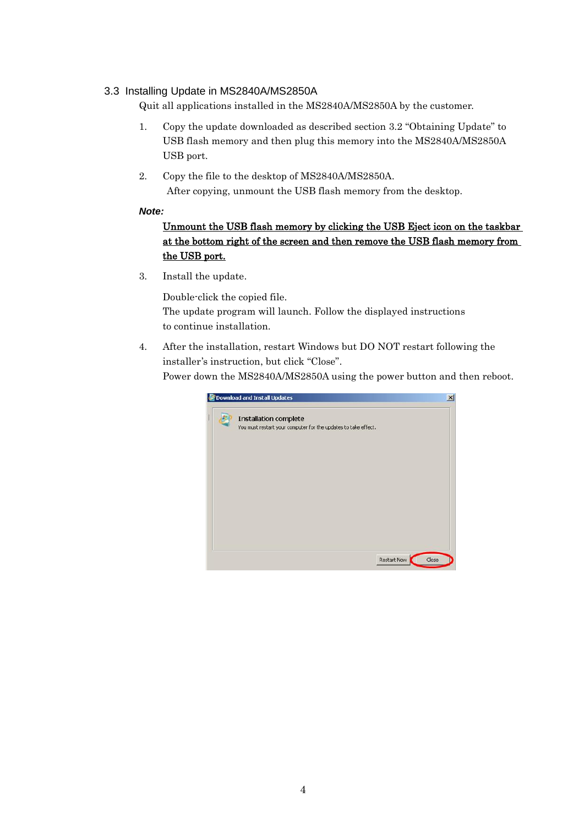## <span id="page-3-0"></span>3.3 Installing Update in MS2840A/MS2850A

Quit all applications installed in the MS2840A/MS2850A by the customer.

- 1. Copy the update downloaded as described section [3.2](#page-2-0) "[Obtaining Update](#page-2-0)" to USB flash memory and then plug this memory into the MS2840A/MS2850A USB port.
- 2. Copy the file to the desktop of MS2840A/MS2850A. After copying, unmount the USB flash memory from the desktop.

#### *Note:*

# Unmount the USB flash memory by clicking the USB Eject icon on the taskbar at the bottom right of the screen and then remove the USB flash memory from the USB port.

3. Install the update.

Double-click the copied file.

The update program will launch. Follow the displayed instructions to continue installation.

4. After the installation, restart Windows but DO NOT restart following the installer's instruction, but click "Close". Power down the MS2840A/MS2850A using the power button and then reboot.